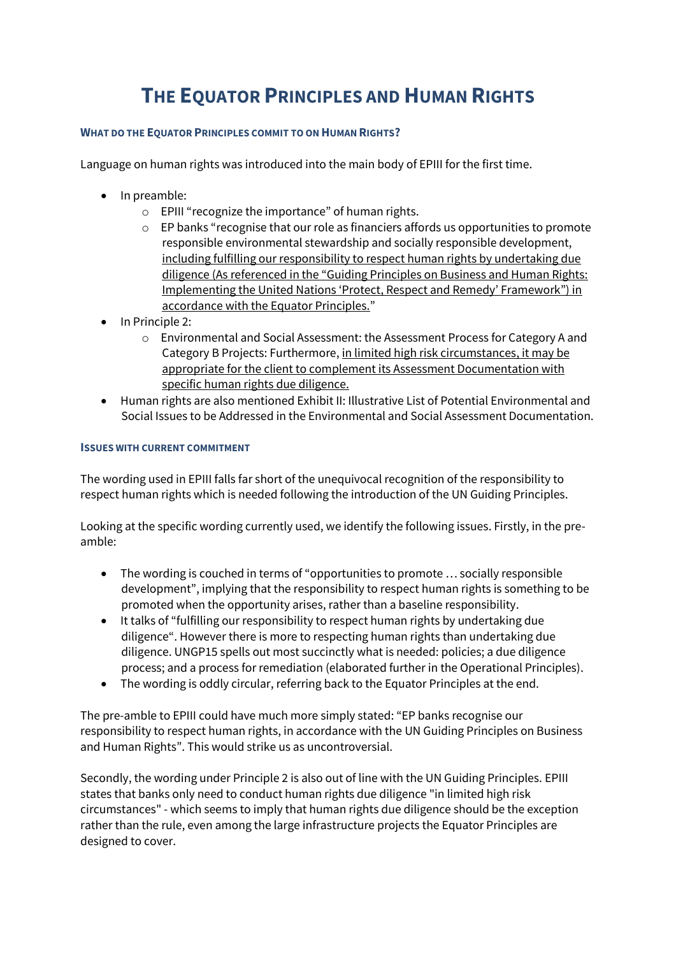## **THE EQUATOR PRINCIPLES AND HUMAN RIGHTS**

## **WHAT DO THE EQUATOR PRINCIPLES COMMIT TO ON HUMAN RIGHTS?**

Language on human rights was introduced into the main body of EPIII for the first time.

- In preamble:
	- o EPIII "recognize the importance" of human rights.
	- o EP banks "recognise that our role as financiers affords us opportunities to promote responsible environmental stewardship and socially responsible development, including fulfilling our responsibility to respect human rights by undertaking due diligence (As referenced in the "Guiding Principles on Business and Human Rights: Implementing the United Nations 'Protect, Respect and Remedy' Framework") in accordance with the Equator Principles."
- In Principle 2:
	- o Environmental and Social Assessment: the Assessment Process for Category A and Category B Projects: Furthermore, in limited high risk circumstances, it may be appropriate for the client to complement its Assessment Documentation with specific human rights due diligence.
- Human rights are also mentioned Exhibit II: Illustrative List of Potential Environmental and Social Issues to be Addressed in the Environmental and Social Assessment Documentation.

## **ISSUES WITH CURRENT COMMITMENT**

The wording used in EPIII falls far short of the unequivocal recognition of the responsibility to respect human rights which is needed following the introduction of the UN Guiding Principles.

Looking at the specific wording currently used, we identify the following issues. Firstly, in the preamble:

- The wording is couched in terms of "opportunities to promote … socially responsible development", implying that the responsibility to respect human rights is something to be promoted when the opportunity arises, rather than a baseline responsibility.
- It talks of "fulfilling our responsibility to respect human rights by undertaking due diligence". However there is more to respecting human rights than undertaking due diligence. UNGP15 spells out most succinctly what is needed: policies; a due diligence process; and a process for remediation (elaborated further in the Operational Principles).
- The wording is oddly circular, referring back to the Equator Principles at the end.

The pre-amble to EPIII could have much more simply stated: "EP banks recognise our responsibility to respect human rights, in accordance with the UN Guiding Principles on Business and Human Rights". This would strike us as uncontroversial.

Secondly, the wording under Principle 2 is also out of line with the UN Guiding Principles. EPIII states that banks only need to conduct human rights due diligence "in limited high risk circumstances" - which seems to imply that human rights due diligence should be the exception rather than the rule, even among the large infrastructure projects the Equator Principles are designed to cover.